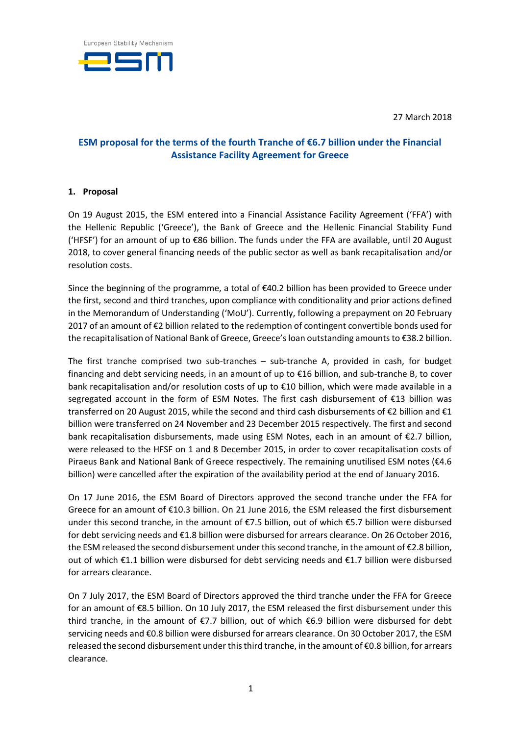

27 March 2018

# **ESM proposal for the terms of the fourth Tranche of €6.7 billion under the Financial Assistance Facility Agreement for Greece**

## **1. Proposal**

On 19 August 2015, the ESM entered into a Financial Assistance Facility Agreement ('FFA') with the Hellenic Republic ('Greece'), the Bank of Greece and the Hellenic Financial Stability Fund ('HFSF') for an amount of up to €86 billion. The funds under the FFA are available, until 20 August 2018, to cover general financing needs of the public sector as well as bank recapitalisation and/or resolution costs.

Since the beginning of the programme, a total of  $\epsilon$ 40.2 billion has been provided to Greece under the first, second and third tranches, upon compliance with conditionality and prior actions defined in the Memorandum of Understanding ('MoU'). Currently, following a prepayment on 20 February 2017 of an amount of €2 billion related to the redemption of contingent convertible bonds used for the recapitalisation of National Bank of Greece, Greece's loan outstanding amounts to €38.2 billion.

The first tranche comprised two sub-tranches – sub-tranche A, provided in cash, for budget financing and debt servicing needs, in an amount of up to €16 billion, and sub-tranche B, to cover bank recapitalisation and/or resolution costs of up to €10 billion, which were made available in a segregated account in the form of ESM Notes. The first cash disbursement of €13 billion was transferred on 20 August 2015, while the second and third cash disbursements of  $\epsilon$ 2 billion and  $\epsilon$ 1 billion were transferred on 24 November and 23 December 2015 respectively. The first and second bank recapitalisation disbursements, made using ESM Notes, each in an amount of €2.7 billion, were released to the HFSF on 1 and 8 December 2015, in order to cover recapitalisation costs of Piraeus Bank and National Bank of Greece respectively. The remaining unutilised ESM notes (€4.6 billion) were cancelled after the expiration of the availability period at the end of January 2016.

On 17 June 2016, the ESM Board of Directors approved the second tranche under the FFA for Greece for an amount of €10.3 billion. On 21 June 2016, the ESM released the first disbursement under this second tranche, in the amount of €7.5 billion, out of which €5.7 billion were disbursed for debt servicing needs and €1.8 billion were disbursed for arrears clearance. On 26 October 2016, the ESM released the second disbursement under this second tranche, in the amount of €2.8 billion, out of which €1.1 billion were disbursed for debt servicing needs and €1.7 billion were disbursed for arrears clearance.

On 7 July 2017, the ESM Board of Directors approved the third tranche under the FFA for Greece for an amount of €8.5 billion. On 10 July 2017, the ESM released the first disbursement under this third tranche, in the amount of €7.7 billion, out of which €6.9 billion were disbursed for debt servicing needs and €0.8 billion were disbursed for arrears clearance. On 30 October 2017, the ESM released the second disbursement under this third tranche, in the amount of €0.8 billion, for arrears clearance.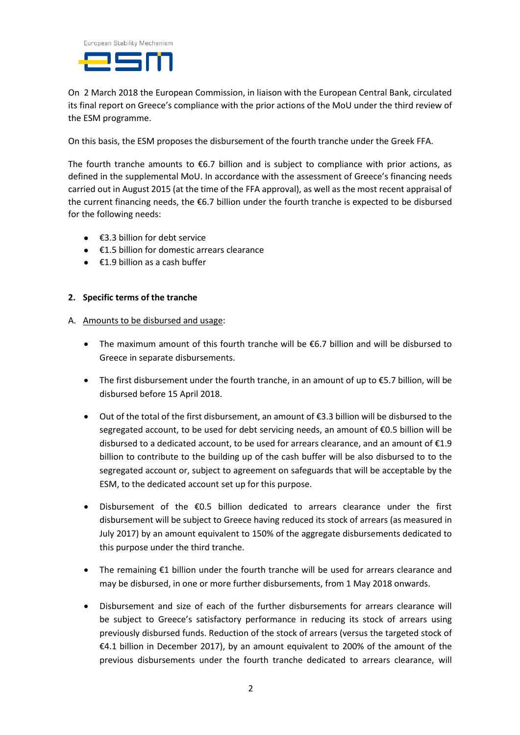

On 2 March 2018 the European Commission, in liaison with the European Central Bank, circulated its final report on Greece's compliance with the prior actions of the MoU under the third review of the ESM programme.

On this basis, the ESM proposes the disbursement of the fourth tranche under the Greek FFA.

The fourth tranche amounts to  $\epsilon$ 6.7 billion and is subject to compliance with prior actions, as defined in the supplemental MoU. In accordance with the assessment of Greece's financing needs carried out in August 2015 (at the time of the FFA approval), as well as the most recent appraisal of the current financing needs, the €6.7 billion under the fourth tranche is expected to be disbursed for the following needs:

- €3.3 billion for debt service
- €1.5 billion for domestic arrears clearance
- $\bullet$   $\epsilon$ 1.9 billion as a cash buffer

## **2. Specific terms of the tranche**

- A. Amounts to be disbursed and usage:
	- The maximum amount of this fourth tranche will be €6.7 billion and will be disbursed to Greece in separate disbursements.
	- The first disbursement under the fourth tranche, in an amount of up to  $\epsilon$ 5.7 billion, will be disbursed before 15 April 2018.
	- Out of the total of the first disbursement, an amount of €3.3 billion will be disbursed to the segregated account, to be used for debt servicing needs, an amount of €0.5 billion will be disbursed to a dedicated account, to be used for arrears clearance, and an amount of €1.9 billion to contribute to the building up of the cash buffer will be also disbursed to to the segregated account or, subject to agreement on safeguards that will be acceptable by the ESM, to the dedicated account set up for this purpose.
	- Disbursement of the €0.5 billion dedicated to arrears clearance under the first disbursement will be subject to Greece having reduced its stock of arrears (as measured in July 2017) by an amount equivalent to 150% of the aggregate disbursements dedicated to this purpose under the third tranche.
	- The remaining €1 billion under the fourth tranche will be used for arrears clearance and may be disbursed, in one or more further disbursements, from 1 May 2018 onwards.
	- Disbursement and size of each of the further disbursements for arrears clearance will be subject to Greece's satisfactory performance in reducing its stock of arrears using previously disbursed funds. Reduction of the stock of arrears (versus the targeted stock of €4.1 billion in December 2017), by an amount equivalent to 200% of the amount of the previous disbursements under the fourth tranche dedicated to arrears clearance, will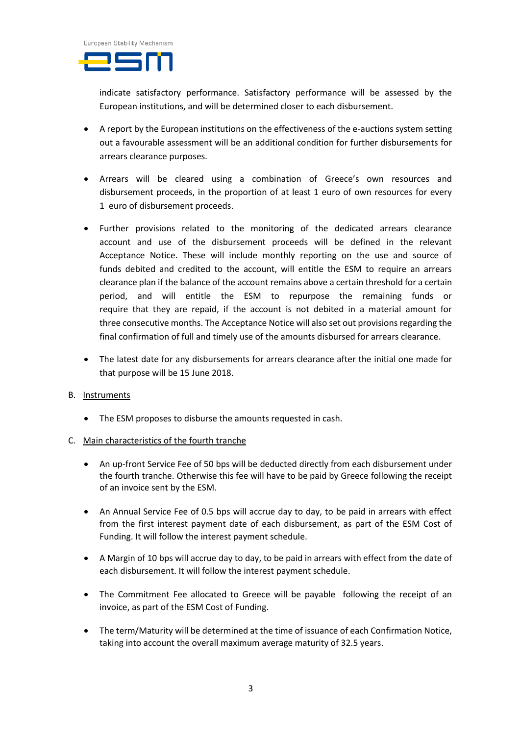

indicate satisfactory performance. Satisfactory performance will be assessed by the European institutions, and will be determined closer to each disbursement.

- A report by the European institutions on the effectiveness of the e-auctions system setting out a favourable assessment will be an additional condition for further disbursements for arrears clearance purposes.
- Arrears will be cleared using a combination of Greece's own resources and disbursement proceeds, in the proportion of at least 1 euro of own resources for every 1 euro of disbursement proceeds.
- Further provisions related to the monitoring of the dedicated arrears clearance account and use of the disbursement proceeds will be defined in the relevant Acceptance Notice. These will include monthly reporting on the use and source of funds debited and credited to the account, will entitle the ESM to require an arrears clearance plan if the balance of the account remains above a certain threshold for a certain period, and will entitle the ESM to repurpose the remaining funds or require that they are repaid, if the account is not debited in a material amount for three consecutive months. The Acceptance Notice will also set out provisions regarding the final confirmation of full and timely use of the amounts disbursed for arrears clearance.
- The latest date for any disbursements for arrears clearance after the initial one made for that purpose will be 15 June 2018.

## B. Instruments

• The ESM proposes to disburse the amounts requested in cash.

### C. Main characteristics of the fourth tranche

- An up-front Service Fee of 50 bps will be deducted directly from each disbursement under the fourth tranche. Otherwise this fee will have to be paid by Greece following the receipt of an invoice sent by the ESM.
- An Annual Service Fee of 0.5 bps will accrue day to day, to be paid in arrears with effect from the first interest payment date of each disbursement, as part of the ESM Cost of Funding. It will follow the interest payment schedule.
- A Margin of 10 bps will accrue day to day, to be paid in arrears with effect from the date of each disbursement. It will follow the interest payment schedule.
- The Commitment Fee allocated to Greece will be payable following the receipt of an invoice, as part of the ESM Cost of Funding.
- The term/Maturity will be determined at the time of issuance of each Confirmation Notice, taking into account the overall maximum average maturity of 32.5 years.